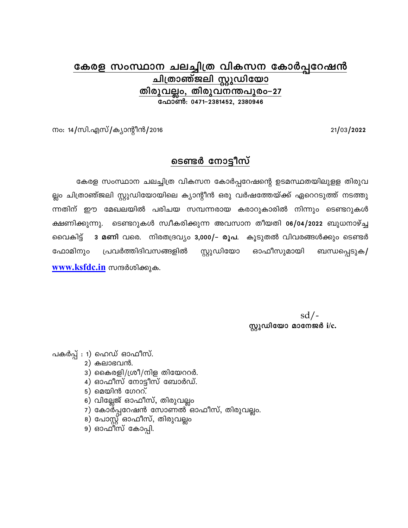## കേരള സംസ്ഥാന ചലച്ചിത്ര വികസന കോർപ്പറേഷൻ ചിത്രാഞ്ജലി സ്റ്റുഡിയോ <u>തിരുവല്ലം, തിരുവനന്തപുരം–27</u> ഫോൺ: 0471-2381452, 2380946

21/03/2022

നം: 14/സി.എസ്/ക്യാന്റീൻ/2016

## ടെണ്ടർ നോട്ടീസ്

കേരള സംസ്ഥാന ചലച്ചിത്ര വികസന കോർപ്പറേഷന്റെ ഉടമസ്ഥതയിലുളള തിരുവ ല്ലം ചിത്രാഞ്ജലി സ്റ്റുഡിയോയിലെ ക്യാന്റീൻ ഒരു വർഷത്തേയ്ക്ക് ഏറെറടുത്ത് നടത്തു ന്നതിന് ഈ മേഖലയിൽ പരിചയ സമ്പന്നരായ കരാറുകാരിൽ നിന്നും ടെണ്ടറുകൾ ടെണ്ടറുകൾ സ്വീകരിക്കുന്ന അവസാന തീയതി o6/04/2022 ബുധനാഴ്ച്ച ക്ഷണിക്കുന്നു. വൈകിട് 3 മണി വരെ. നിരതദ്രവ്യം 3,000/- രൂപ. കൂടുതൽ വിവരങ്ങൾക്കും ടെണ്ടർ സ്റ്റുഡിയോ പ്രവർത്തിദിവസങ്ങളിൽ ഓഫീസുമായി ഫോമിനും ബന്ധപ്പെടുക/ www.ksfdc.in സന്ദർശിക്കുക.

> $sd/$ -സ്റ്റുഡിയോ മാനേജർ i/ $c$ .

പകർപ്പ് : 1) ഹെഡ് ഓഫീസ്.

- $2)$  കലാഭവൻ.
- 3) കൈരളി/ശ്രീ/നിള തിയേററർ.
- 4) ഓഫീസ് നോട്ടീസ് ബോർഡ്.
- $5)$  മെയിൻ ഗേററ്.
- 6) വില്ലേജ് ഓഫീസ്, തിരുവല്ലം
- 7) കോർപ്പറേഷൻ സോണൽ ഓഫീസ്, തിരുവല്ലം.
- 8) പോസ്റ്റ് ഓഫീസ്, തിരുവല്ലം
- 9) ഓഫീസ് കോപ്പി.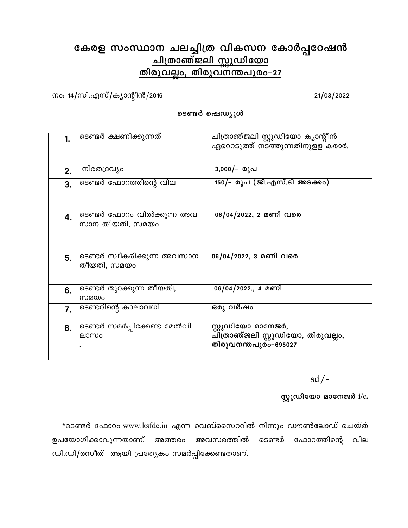# <u>കേരള സംസ്ഥാന ചലച്ചിത്ര വികസന കോർപ്പറേഷൻ</u><br>ചിത്രാഞ്ജലി സ്റ്റുഡിയോ <u>തിരുവല്ലം, തിരുവനന്തപുരം-27</u>

നം: 14/സി.എസ്/ക്യാന്റീൻ/2016

21/03/2022

#### ടെണ്ടർ ഷെഡ്യൂൾ

| 1. | ടെണ്ടർ ക്ഷണിക്കുന്നത്       | ചിത്രാഞ്ജലി സ്റ്റുഡിയോ ക്യാന്റീൻ   |
|----|-----------------------------|------------------------------------|
|    |                             | ഏറെറടുത്ത് നടത്തുന്നതിനുളള കരാർ.   |
|    |                             |                                    |
|    |                             |                                    |
| 2. | നിരതദ്രവ്യം                 | 3,000/– രൂപ                        |
| 3. | ടെണ്ടർ ഫോറത്തിന്റെ വില      | 150/- രൂപ (ജി.എസ്.ടി അടക്കം)       |
|    |                             |                                    |
|    |                             |                                    |
|    |                             |                                    |
| 4. | ടെണ്ടർ ഫോറം വിൽക്കുന്ന അവ   | 06/04/2022, 2 മണി വരെ              |
|    | സാന തീയതി, സമയം             |                                    |
|    |                             |                                    |
|    |                             |                                    |
|    | ടെണ്ടർ സ്വീകരിക്കുന്ന അവസാന | 06/04/2022, 3 മണി വരെ              |
| 5. | തീയതി, സമയം                 |                                    |
|    |                             |                                    |
|    |                             |                                    |
| 6. | ടെണ്ടർ തുറക്കുന്ന തീയതി,    | 06/04/2022., 4 മണി                 |
|    | സമയം                        |                                    |
| 7. | ടെണ്ടറിന്റെ കാലാവധി         | ഒരു വർഷം                           |
|    |                             |                                    |
|    |                             | സ്റ്റുഡിയോ മാനേജർ,                 |
| 8. | ടെണ്ടർ സമർപ്പിക്കേണ്ട മേൽവി |                                    |
|    | ലാസം                        | ചിത്രാഞ്ജലി സ്റ്റുഡിയോ, തിരുവല്ലം, |
|    |                             | തിരുവനന്തപുരം-695027               |
|    |                             |                                    |

 $sd/$ -

സ്റ്റുഡിയോ മാനേജർ i/c.

\*ടെണ്ടർ ഫോറം www.ksfdc.in എന്ന വെബ്സൈററിൽ നിന്നും ഡൗൺലോഡ് ചെയ്ത് ഉപയോഗിക്കാവുന്നതാണ്. അവസരത്തിൽ ടെണ്ടർ ഫോറത്തിന്റെ വില അത്തരം ഡി.ഡി/രസീത് ആയി പ്രത്യേകം സമർപ്പിക്കേണ്ടതാണ്.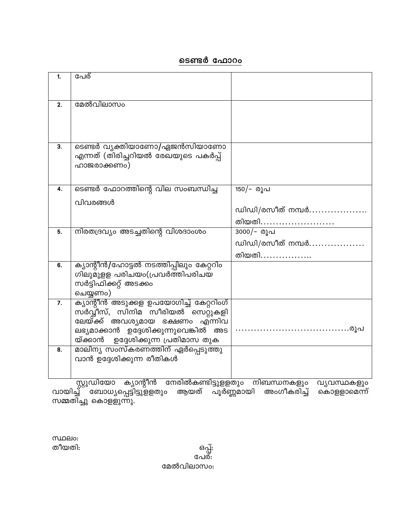### <u>ടൈർ ഫോറം</u>

| 1. | പേര്                                                                      |                  |
|----|---------------------------------------------------------------------------|------------------|
|    |                                                                           |                  |
| 2. | മേൽവിലാസം                                                                 |                  |
|    |                                                                           |                  |
|    |                                                                           |                  |
| 3. | ടെണ്ടർ വ്യക്തിയാണോ/ഏജൻസിയാണോ                                              |                  |
|    | എന്നത് (തിരിച്ചറിയൽ രേഖയുടെ പകർപ്പ്                                       |                  |
|    | ഹാജരാക്കണം)                                                               |                  |
|    |                                                                           |                  |
| 4. | ടെണ്ടർ ഫോറത്തിന്റെ വില സംബന്ധിച്ച                                         | 150/- രൂപ        |
|    | വിവരങ്ങൾ                                                                  |                  |
|    |                                                                           | ഡിഡി/രസീത് നമ്പർ |
|    |                                                                           | തിയതി            |
| 5. | നിരതദ്രവ്യം അടച്ചതിന്റെ വിശദാംശം                                          | 3000/- രൂപ       |
|    |                                                                           | ഡിഡി/രസീത് നമ്പർ |
|    |                                                                           | തിയതി.           |
| 6. | ക്യാന്റീൻ/ഹോട്ടൽ നടത്തിപ്പിലും കേറ്ററിം<br>ഗിലുമുളള പരിചയം(പ്രവർത്തിപരിചയ |                  |
|    | സർട്ടിഫിക്കറ്റ് അടക്കം                                                    |                  |
|    | ചെയ്യണം)                                                                  |                  |
| 7. | <u>ക്യാന്റീൻ അടുക്കള ഉപയോഗിച്ച് കേറ്ററിംഗ്</u>                            |                  |
|    | സ്ർവ്വീസ്, സിനിമ സീരിയൽ സെറ്റുകളി                                         |                  |
|    | ലേയ്ക്ക് അവശ്യമായ ഭക്ഷണം എ്ന്നിവ<br>ലഭ്യമാക്കാൻ ഉദ്ദേശിക്കുന്നുവെങ്കിൽ അട |                  |
|    | യ്ക്കാൻ ഉദ്ദേശിക്കുന്ന പ്രതിമാസ തുക                                       |                  |
| 8. | മാലിന്യ സംസ്കരണത്തിന് ഏർപ്പെടുത്തു                                        |                  |
|    | വാൻ ഉദ്ദേശിക്കുന്ന രീതികൾ                                                 |                  |
|    |                                                                           |                  |

സ്റ്റുഡിയോ ക്യാന്റീൻ നേരിൽകണ്ടിട്ടുളളതും നിബന്ധനകളും വ്യവസ്ഥകളും<br>വായിച്ച് ബോധ്യപ്പെട്ടിട്ടുളളതും ആയത് പൂർണ്ണമായി അംഗീകരിച്ച് കൊളളാമെന്ന്<br>സമ്മതിച്ചു കൊളളുന്നു.

**MIDEIO:** തീയതി:

ഒപ്പ്: പേര്: മേൽവിലാസം: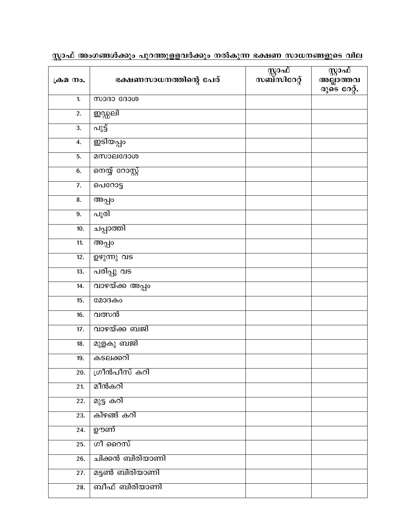| ഭക്ഷണസാധനത്തിന്റെ പേര് | ുറ്റാഫ്<br>സബ്സിറേറ്റ് | സ്റ്റാഫ്<br>അല്ലാത്തവ<br>രുടെ റേറ്റ്. |
|------------------------|------------------------|---------------------------------------|
| <b>MOBO GBOOO</b>      |                        |                                       |
| ഇഡ്ഡലി                 |                        |                                       |
| പുട്ട്                 |                        |                                       |
| ഇടിയപ്പം               |                        |                                       |
| മസാലദോശ                |                        |                                       |
| <u>നെയ്യ് റോസ്റ്റ്</u> |                        |                                       |
| പെറോട്ട                |                        |                                       |
| അപ്പം                  |                        |                                       |
| പൂരി                   |                        |                                       |
| ചപ്പാത്തി              |                        |                                       |
| അപ്പം                  |                        |                                       |
| <u>ഉഴുന്നു വട</u>      |                        |                                       |
| പരിപ്പു വട             |                        |                                       |
| വാഴയ്ക്ക അപ്പം         |                        |                                       |
| മോദകം                  |                        |                                       |
| വത്സൻ                  |                        |                                       |
| വാഴയ്ക്ക ബജി           |                        |                                       |
| മുളകു ബജി              |                        |                                       |
| കടലക്കറി               |                        |                                       |
| ഗ്രീൻപീസ് കറി          |                        |                                       |
| മീൻകറി                 |                        |                                       |
| മുട്ട കറി              |                        |                                       |
| കിഴങ്ങ് കറി            |                        |                                       |
| ഊണ്                    |                        |                                       |
| ഗീ റൈസ്                |                        |                                       |
| ചിക്കൻ ബിരിയാണി        |                        |                                       |
| മട്ടൺ ബിരിയാണി         |                        |                                       |
| ബീഫ് ബിരിയാണി          |                        |                                       |
|                        |                        |                                       |

<u>സ്ലാഫ് അംഗങ്ങൾക്കും പുറത്തുളളവർക്കും നൽകുന്ന ഭക്ഷണ സാധനങ്ങളുടെ വില</u>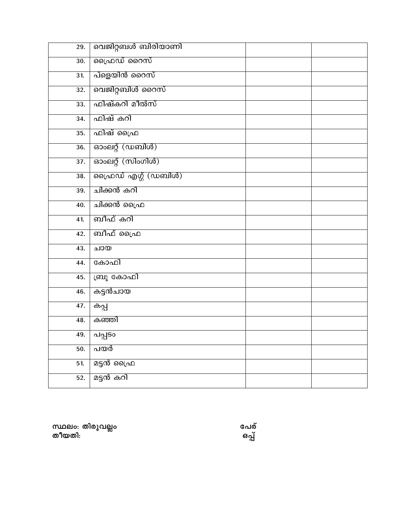| 29.               | വെജിറ്റബൾ ബിരിയാണി  |  |
|-------------------|---------------------|--|
| 30.               | ഫ്രൈഡ് റൈസ്         |  |
| 31.               | പ്ളെയിൻ റൈസ്        |  |
| 32.               | വെജിറ്റബിൾ റൈസ്     |  |
| 33.               | ഫിഷ്കറി മീൽസ്       |  |
| 34.               | ഫിഷ് കറി            |  |
| $\overline{35}$ . | ഫിഷ് ഫ്രൈ           |  |
| 36.               | ഓംലറ്റ് (ഡബിൾ)      |  |
| $\overline{37}$ . | ഓംലറ്റ് (സിംഗിൾ)    |  |
| 38.               | ഫ്രൈഡ് എഗ്ഗ് (ഡബിൾ) |  |
| 39.               | ചിക്കൻ കറി          |  |
| 40.               | ചിക്കൻ ഫ്രൈ         |  |
| 41.               | ബീഫ് കറി            |  |
| 42.               | ബീഫ് പ്രൈ           |  |
| 43.               | ചായ                 |  |
| 44.               | കോഫി                |  |
| 45.               | ബ്രൂ കോഫി           |  |
| 46.               | കട്ടൻചായ            |  |
| 47.               | കപ്പ                |  |
| 48.               | കഞ്ഞി               |  |
| 49.               | പപ്പടം              |  |
| 50.               | പയർ                 |  |
| 51.               | മട്ടൻ ഫ്രൈ          |  |
| 52.               | മട്ടൻ കറി           |  |

സ്ഥലം: തിരുവല്ലം<br>തീയതി:

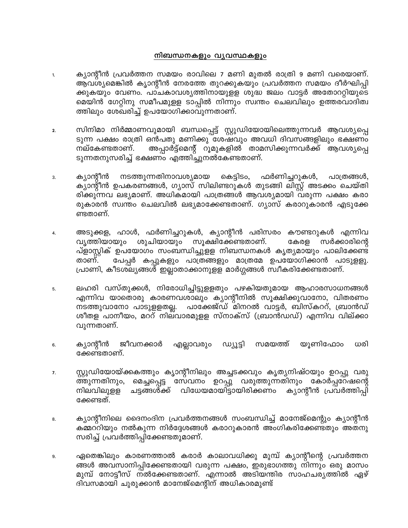#### നിബന്ധനകളും വൃവസ്ഥകളും

- ക്യാന്റീൻ പ്രവർത്തന സമയം രാവിലെ 7 മണി മുതൽ രാത്രി 9 മണി വരെയാണ്. 1. ആവശ്യമെങ്കിൽ കൃാന്റീൻ നേരത്തേ തുറക്കുകയും പ്രവർത്തന സമയം ദീർഘിപ്പി ക്കുകയും വേണം. പാചകാവശ്യത്തിനായുളള ശുദ്ധ ജലം വാട്ടർ അതോററ്റിയുടെ മെയിൻ ഗേറ്റിനു സമീപമുളള ടാപ്പിൽ നിന്നും സ്വന്തം ചെലവിലും ഉത്തരവാദിത്വ ത്തിലും ശേഖരിച്ച് ഉപയോഗിക്കാവുന്നതാണ്.
- സിനിമാ നിർമ്മാണവുമായി ബന്ധപ്പെട്ട് സ്റ്റുഡിയോയിലെത്തുന്നവർ ആവശ്യപ്പെ  $2.$ ടുന്ന പക്ഷം രാത്രി ഒൻപതു മണിക്കു ശേഷവും അവധി ദിവസങ്ങളിലും ഭക്ഷണം അപ്പാർട്ട്മെന്റ് റൂമുകളിൽ താമസിക്കുന്നവർക്ക് ആവശ്യപ്പെ നല്കേണ്ടതാണ്. ടുന്നതനുസരിച്ച് ഭക്ഷണം എത്തിച്ചുനൽകേണ്ടതാണ്.
- നടത്തുന്നതിനാവശ്യമായ ക്യാന്റീൻ കെട്ടിടം, ഫർണിച്ചറുകൾ, പാത്രങ്ങൾ, 3. ക്യാന്റീൻ ഉപകരണങ്ങൾ, ഗ്യാസ് സിലിണ്ടറുകൾ തുടങ്ങി ലിസ്റ്റ് അടക്കം ചെയ്തി രിക്കുന്നവ ലഭ്യമാണ്. അധികമായി പാത്രങ്ങൾ ആവശ്യമായി വരുന്ന പക്ഷം കരാ രുകാരൻ സ്വന്തം ചെലവിൽ ലഭ്യമാക്കേണ്ടതാണ്. ഗ്യാസ് കരാറുകാരൻ എടുക്കേ ണ്ടതാണ്.
- അടുക്കള, ഹാൾ, ഫർണിച്ചറുകൾ, ക്യാന്റീൻ പരിസരം കൗണ്ടറുകൾ എന്നിവ  $\overline{4}$ . വൃത്തിയായും ശുചിയായും സൂക്ഷിക്കേണ്ടതാണ്. കേരള സർക്കാരിന്റെ പ്ളാസ്റ്റിക് ഉപയോഗം സംബന്ധിച്ചുളള നിബന്ധനകൾ കൃത്യമായും പാലിക്കേണ്ട പേപ്പർ കപ്പുകളും പാത്രങ്ങളും മാത്രമേ ഉപയോഗിക്കാൻ പാടുളളു. താണ്. പ്രാണി, കീടശല്യങ്ങൾ ഇല്ലാതാക്കാനുളള മാർഗ്ഗങ്ങൾ സ്വീകരിക്കേണ്ടതാണ്.
- ലഹരി വസ്തുക്കൾ, നിരോധിച്ചിട്ടുളളതും പഴകിയതുമായ ആഹാരസാധനങ്ങൾ 5. എന്നിവ യാതൊരു കാരണവശാലും ക്യാന്റീനിൽ സൂക്ഷിക്കുവാനോ, വിതരണം നടത്തുവാനോ പാടുളളതല്ല. പാക്കേജ്ഡ് മിനറൽ വാട്ടർ, ബിസ്കററ്, ബ്രാൻഡ് ശീതള പാനീയം, മററ് നിലവാരമുളള സ്നാക്സ് (ബ്രാൻഡഡ്) എന്നിവ വില്ക്കാ വുന്നതാണ്.
- ക്യാന്റീൻ യൂണിഫോം ജീവനക്കാർ എല്ലാവരും ഡ്യൂട്ടി സമയത്ത് ധരി 6. ക്കേണ്ടതാണ്.
- സ്റ്റുഡിയോയ്ക്കകത്തും കൃാന്റീനിലും അച്ചടക്കവും കൃത്യനിഷ്ഠയും ഉറപ്പു വരു 7. മെച്ചപ്പെട്ട സേവനം ഉറപ്പു വരുത്തുന്നതിനും കോർപ്പറേഷന്റെ ത്തുന്നതിനും, നിലവിലുളള ചട്ടങ്ങൾക്ക് വിധേയമായിട്ടായിരിക്കണം ക്യാന്റീൻ പ്രവർത്തിപ്പി ക്കേണ്ടത്.
- ക്യാന്റീനിലെ ദൈനംദിന പ്രവർത്തനങ്ങൾ സംബന്ധിച്ച് മാനേജ്മെന്റും ക്യാന്റീൻ 8. കമ്മററിയും നൽകുന്ന നിർദ്ദേശങ്ങൾ കരാറുകാരൻ അംഗികരിക്കേണ്ടതും അതനു സരിച്ച് പ്രവർത്തിപ്പിക്കേണ്ടതുമാണ്.
- ഏതെങ്കിലും കാരണത്താൽ കരാർ കാലാവധിക്കു മുമ്പ് ക്യാന്റീന്റെ പ്രവർത്തന 9. ങ്ങൾ അവസാനിപ്പിക്കേണ്ടതായി വരുന്ന പക്ഷം, ഇരുഭാഗത്തു നിന്നും ഒരു മാസം മുമ്പ് നോട്ടീസ് നൽക്കേണ്ടതാണ്. എന്നാൽ അടിയന്തിര സാഹചര്യത്തിൽ ഏഴ് ദിവസമായി ചുരുക്കാൻ മാനേജ്മെന്റിന് അധികാരമുണ്ട്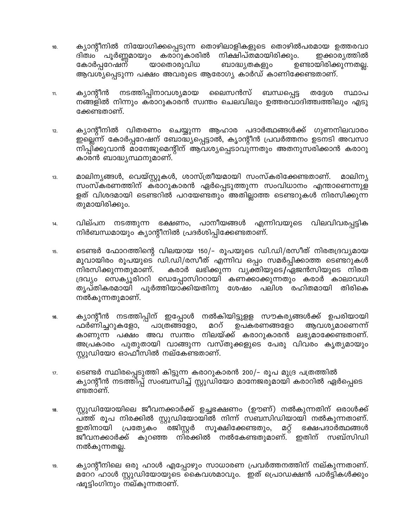- ക്യാന്റീനിൽ നിയോഗിക്കപ്പെടുന്ന തൊഴിലാളികളുടെ തൊഴിൽപരമായ ഉത്തരവാ 10. ദിത്വം പൂർണ്ണമായും കരാറുകാരിൽ നിക്ഷിപ്തമായിരിക്കും. ഇക്കാര്യത്തിൽ കോർപ്പറേഷന് യാതൊരുവിധ ബാദ്ധ്യതകളും ഉണ്ടായിരിക്കുന്നതല്ല. ആവശ്യപ്പെടുന്ന പക്ഷം അവരുടെ ആരോഗ്യ കാർഡ് കാണിക്കേണ്ടതാണ്.
- നടത്തിപ്പിനാവശ്യമായ ലൈസൻസ് ബന്ധപ്പെട്ട ക്യാന്റീൻ തദ്ദേശ സ്ഥാപ  $11.$ നങ്ങളിൽ നിന്നും കരാറുകാരൻ സ്വന്തം ചെലവിലും ഉത്തരവാദിത്ത്വത്തിലും എടു ക്കേണ്ടതാണ്.
- ക്യാന്റീനിൽ വിതരണം ചെയ്യുന്ന ആഹാര പദാർത്ഥങ്ങൾക്ക് ഗുണനിലവാരം  $12.$ ഇല്ലെന്ന് കോർപ്പറേഷന് ബോദ്ധ്യപ്പെട്ടാൽ, കൃാന്റീൻ പ്രവർത്തനം ഉടനടി അവസാ നിപ്പിക്കുവാൻ മാനേജുമെന്റിന് ആവശ്യപ്പെടാവുന്നതും അതനുസരിക്കാൻ കരാറു കാരൻ ബാദ്ധ്യസ്ഥനുമാണ്.
- മാലിന്യങ്ങൾ, വെയ്സ്റ്റുകൾ, ശാസ്ത്രീയമായി സംസ്കരിക്കേണ്ടതാണ്. മാലിന്യ 13. സംസ്കരണത്തിന് കരാറുകാരൻ ഏർപ്പെടുത്തുന്ന സംവിധാനം എന്താണെന്നുള ളത് വിശദമായി ടെണ്ടറിൽ പറയേണ്ടതും അതില്ലാത്ത ടെണ്ടറുകൾ നിരസിക്കുന്ന തുമായിരിക്കും.
- വില്പന നടത്തുന്ന ഭക്ഷണം, പാനീയങ്ങൾ എന്നിവയുടെ വിലവിവരപ്പട്ടിക 14. നിർബന്ധമായും ക്യാന്റീനിൽ പ്രദർശിപ്പിക്കേണ്ടതാണ്.
- ടെണ്ടർ ഫോറത്തിന്റെ വിലയായ 150/– രൂപയുടെ ഡി.ഡി/രസീത് നിരതദ്രവ്യമായ 15. മൂവായിരം രൂപയുടെ ഡി.ഡി/രസീത് എന്നിവ ഒപ്പം സമർപ്പിക്കാത്ത ടെണ്ടറുകൾ നിരസിക്കുന്നതുമാണ്. കരാർ ലഭിക്കുന്ന വ്യക്തിയുടെ/ഏജൻസിയുടെ നിരത ദ്രവ്യം സെക്യൂരിററി ഡെപ്പോസിററായി കണക്കാക്കുന്നതും കരാർ കാലാവധി തൃപ്തികരമായി പൂർത്തിയാക്കിയതിനു ശേഷം പലിശ രഹിതമായി തിരികെ നൽകുന്നതുമാണ്.
- ക്യാന്റീൻ നടത്തിപ്പിന് ഇപ്പോൾ നൽകിയിട്ടുളള സൗകര്യങ്ങൾക്ക് ഉപരിയായി 16. ഫർണിച്ചറുകളോ, പാത്രങ്ങളോ, മററ് ഉപകരണങ്ങളോ ആവശ്യമാണെന്ന് കാണുന്ന പക്ഷം അവ സ്വന്തം നിലയ്ക്ക് കരാറുകാരൻ ലഭ്യമാക്കേണ്ടതാണ്. അപ്രകാരം പുതുതായി വാങ്ങുന്ന വസ്തുക്കളുടെ പേരു വിവരം കൃത്യമായും സ്റ്റുഡിയോ ഓഫീസിൽ നല്കേണ്ടതാണ്.
- ടെണ്ടർ സ്ഥിരപ്പെടുത്തി കിട്ടുന്ന കരാറുകാരൻ 200/- രൂപ മുദ്ര പത്രത്തിൽ  $17.$ ക്യാന്റീൻ നടത്തിപ്പ് സംബന്ധിച്ച് സ്റ്റുഡിയോ മാനേജരുമായി കരാറിൽ ഏർപ്പെടെ ണ്ടതാണ്.
- സ്റ്റുഡിയോയിലെ ജീവനക്കാർക്ക് ഉച്ചഭക്ഷണം (ഊണ്) നൽകുന്നതിന് ഒരാൾക്ക് 18. പത്ത് രൂപ നിരക്കിൽ സ്റ്റുഡിയോയിൽ നിന്ന് സബസിഡിയായി നൽകുന്നതാണ്. പ്രത്യേകം ¨്രജിസ്റ്റർ ഇതിനായി സൂക്ഷിക്കേണ്ടതും, മറ്റ് ഭക്ഷപദാർത്ഥങ്ങൾ ജീവനക്കാർക്ക് കുറഞ്ഞ നിരക്കിൽ നൽകേണ്ടതുമാണ്. ഇതിന് സബ്സിഡി നൽകുന്നതല്ല.
- ക്യാന്റീനിലെ ഒരു ഹാൾ എപ്പോഴും സാധാരണ പ്രവർത്തനത്തിന് നല്കുന്നതാണ്. 19. മറേറ ഹാൾ സ്റ്റുഡിയോയുടെ കൈവശമാവും. ഇത് പ്രൊഡക്ഷൻ പാർട്ടികൾക്കും ഷൂട്ടിംഗിനും നല്കുന്നതാണ്.